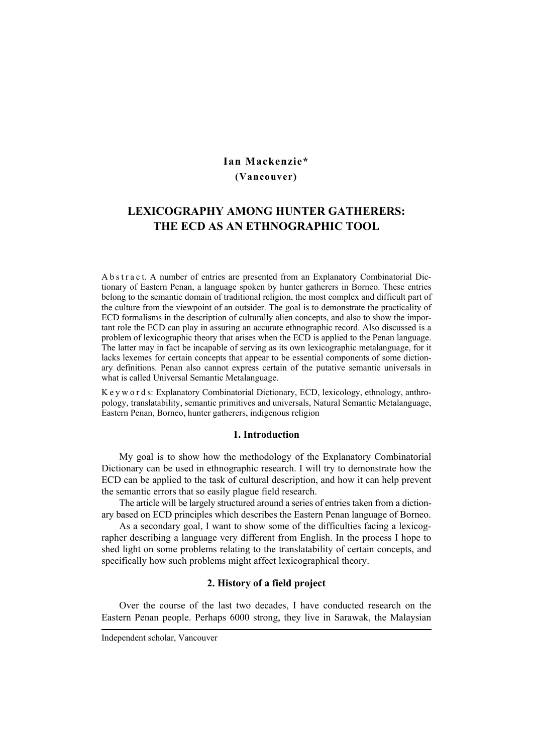# **Ian Mackenzie\* (Vancouver)**

# **LEXICOGRAPHY AMONG HUNTER GATHERERS: THE ECD AS AN ETHNOGRAPHIC TOOL**

A b s t r a c t. A number of entries are presented from an Explanatory Combinatorial Dictionary of Eastern Penan, a language spoken by hunter gatherers in Borneo. These entries belong to the semantic domain of traditional religion, the most complex and difficult part of the culture from the viewpoint of an outsider. The goal is to demonstrate the practicality of ECD formalisms in the description of culturally alien concepts, and also to show the important role the ECD can play in assuring an accurate ethnographic record. Also discussed is a problem of lexicographic theory that arises when the ECD is applied to the Penan language. The latter may in fact be incapable of serving as its own lexicographic metalanguage, for it lacks lexemes for certain concepts that appear to be essential components of some dictionary definitions. Penan also cannot express certain of the putative semantic universals in what is called Universal Semantic Metalanguage.

K e y w o r d s: Explanatory Combinatorial Dictionary, ECD, lexicology, ethnology, anthropology, translatability, semantic primitives and universals, Natural Semantic Metalanguage, Eastern Penan, Borneo, hunter gatherers, indigenous religion

# **1. Introduction**

My goal is to show how the methodology of the Explanatory Combinatorial Dictionary can be used in ethnographic research. I will try to demonstrate how the ECD can be applied to the task of cultural description, and how it can help prevent the semantic errors that so easily plague field research.

The article will be largely structured around a series of entries taken from a dictionary based on ECD principles which describes the Eastern Penan language of Borneo.

As a secondary goal, I want to show some of the difficulties facing a lexicographer describing a language very different from English. In the process I hope to shed light on some problems relating to the translatability of certain concepts, and specifically how such problems might affect lexicographical theory.

# **2. History of a field project**

Over the course of the last two decades, I have conducted research on the Eastern Penan people. Perhaps 6000 strong, they live in Sarawak, the Malaysian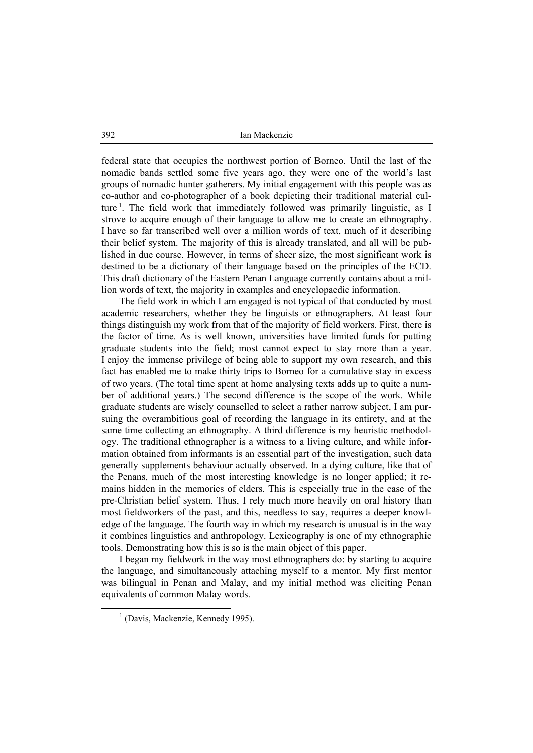federal state that occupies the northwest portion of Borneo. Until the last of the nomadic bands settled some five years ago, they were one of the world's last groups of nomadic hunter gatherers. My initial engagement with this people was as co-author and co-photographer of a book depicting their traditional material culture<sup>1</sup>. The field work that immediately followed was primarily linguistic, as I strove to acquire enough of their language to allow me to create an ethnography. I have so far transcribed well over a million words of text, much of it describing their belief system. The majority of this is already translated, and all will be published in due course. However, in terms of sheer size, the most significant work is destined to be a dictionary of their language based on the principles of the ECD. This draft dictionary of the Eastern Penan Language currently contains about a million words of text, the majority in examples and encyclopaedic information.

The field work in which I am engaged is not typical of that conducted by most academic researchers, whether they be linguists or ethnographers. At least four things distinguish my work from that of the majority of field workers. First, there is the factor of time. As is well known, universities have limited funds for putting graduate students into the field; most cannot expect to stay more than a year. I enjoy the immense privilege of being able to support my own research, and this fact has enabled me to make thirty trips to Borneo for a cumulative stay in excess of two years. (The total time spent at home analysing texts adds up to quite a number of additional years.) The second difference is the scope of the work. While graduate students are wisely counselled to select a rather narrow subject, I am pursuing the overambitious goal of recording the language in its entirety, and at the same time collecting an ethnography. A third difference is my heuristic methodology. The traditional ethnographer is a witness to a living culture, and while information obtained from informants is an essential part of the investigation, such data generally supplements behaviour actually observed. In a dying culture, like that of the Penans, much of the most interesting knowledge is no longer applied; it remains hidden in the memories of elders. This is especially true in the case of the pre-Christian belief system. Thus, I rely much more heavily on oral history than most fieldworkers of the past, and this, needless to say, requires a deeper knowledge of the language. The fourth way in which my research is unusual is in the way it combines linguistics and anthropology. Lexicography is one of my ethnographic tools. Demonstrating how this is so is the main object of this paper.

I began my fieldwork in the way most ethnographers do: by starting to acquire the language, and simultaneously attaching myself to a mentor. My first mentor was bilingual in Penan and Malay, and my initial method was eliciting Penan equivalents of common Malay words.

 <sup>1</sup> <sup>1</sup> (Davis, Mackenzie, Kennedy 1995).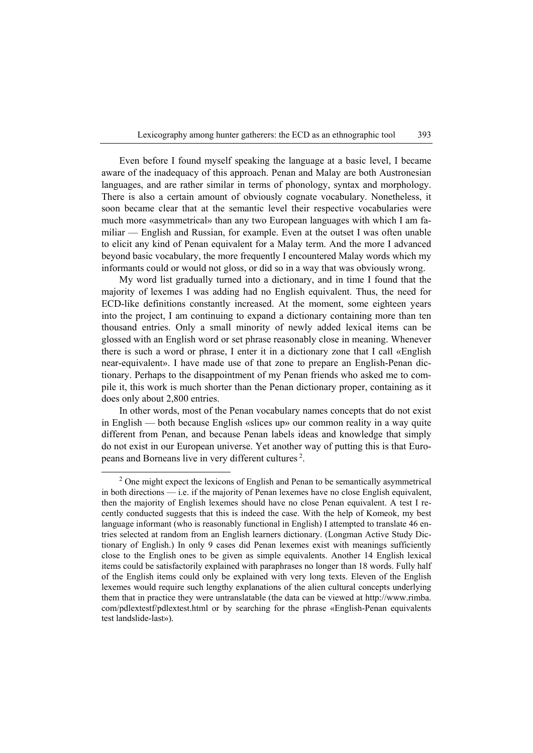Even before I found myself speaking the language at a basic level, I became aware of the inadequacy of this approach. Penan and Malay are both Austronesian languages, and are rather similar in terms of phonology, syntax and morphology. There is also a certain amount of obviously cognate vocabulary. Nonetheless, it soon became clear that at the semantic level their respective vocabularies were much more «asymmetrical» than any two European languages with which I am familiar — English and Russian, for example. Even at the outset I was often unable to elicit any kind of Penan equivalent for a Malay term. And the more I advanced beyond basic vocabulary, the more frequently I encountered Malay words which my informants could or would not gloss, or did so in a way that was obviously wrong.

My word list gradually turned into a dictionary, and in time I found that the majority of lexemes I was adding had no English equivalent. Thus, the need for ECD-like definitions constantly increased. At the moment, some eighteen years into the project, I am continuing to expand a dictionary containing more than ten thousand entries. Only a small minority of newly added lexical items can be glossed with an English word or set phrase reasonably close in meaning. Whenever there is such a word or phrase, I enter it in a dictionary zone that I call «English near-equivalent». I have made use of that zone to prepare an English-Penan dictionary. Perhaps to the disappointment of my Penan friends who asked me to compile it, this work is much shorter than the Penan dictionary proper, containing as it does only about 2,800 entries.

In other words, most of the Penan vocabulary names concepts that do not exist in English — both because English «slices up» our common reality in a way quite different from Penan, and because Penan labels ideas and knowledge that simply do not exist in our European universe. Yet another way of putting this is that Europeans and Borneans live in very different cultures<sup>2</sup>.

 <sup>2</sup>  $<sup>2</sup>$  One might expect the lexicons of English and Penan to be semantically asymmetrical</sup> in both directions — i.e. if the majority of Penan lexemes have no close English equivalent, then the majority of English lexemes should have no close Penan equivalent. A test I recently conducted suggests that this is indeed the case. With the help of Komeok, my best language informant (who is reasonably functional in English) I attempted to translate 46 entries selected at random from an English learners dictionary. (Longman Active Study Dictionary of English.) In only 9 cases did Penan lexemes exist with meanings sufficiently close to the English ones to be given as simple equivalents. Another 14 English lexical items could be satisfactorily explained with paraphrases no longer than 18 words. Fully half of the English items could only be explained with very long texts. Eleven of the English lexemes would require such lengthy explanations of the alien cultural concepts underlying them that in practice they were untranslatable (the data can be viewed at http://www.rimba. com/pdlextestf/pdlextest.html or by searching for the phrase «English-Penan equivalents test landslide-last»).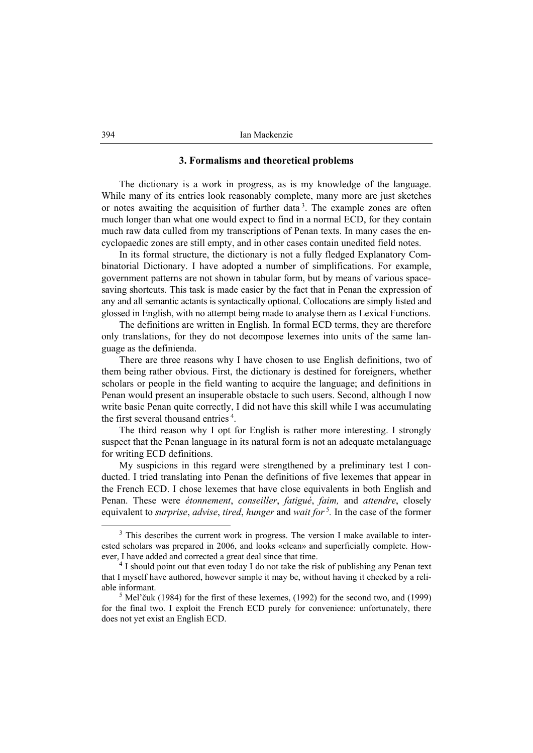# **3. Formalisms and theoretical problems**

The dictionary is a work in progress, as is my knowledge of the language. While many of its entries look reasonably complete, many more are just sketches or notes awaiting the acquisition of further data<sup>3</sup>. The example zones are often much longer than what one would expect to find in a normal ECD, for they contain much raw data culled from my transcriptions of Penan texts. In many cases the encyclopaedic zones are still empty, and in other cases contain unedited field notes.

In its formal structure, the dictionary is not a fully fledged Explanatory Combinatorial Dictionary. I have adopted a number of simplifications. For example, government patterns are not shown in tabular form, but by means of various spacesaving shortcuts. This task is made easier by the fact that in Penan the expression of any and all semantic actants is syntactically optional. Collocations are simply listed and glossed in English, with no attempt being made to analyse them as Lexical Functions.

The definitions are written in English. In formal ECD terms, they are therefore only translations, for they do not decompose lexemes into units of the same language as the definienda.

There are three reasons why I have chosen to use English definitions, two of them being rather obvious. First, the dictionary is destined for foreigners, whether scholars or people in the field wanting to acquire the language; and definitions in Penan would present an insuperable obstacle to such users. Second, although I now write basic Penan quite correctly, I did not have this skill while I was accumulating the first several thousand entries <sup>4</sup> .

The third reason why I opt for English is rather more interesting. I strongly suspect that the Penan language in its natural form is not an adequate metalanguage for writing ECD definitions.

My suspicions in this regard were strengthened by a preliminary test I conducted. I tried translating into Penan the definitions of five lexemes that appear in the French ECD. I chose lexemes that have close equivalents in both English and Penan. These were *étonnement*, *conseiller*, *fatigué*, *faim,* and *attendre*, closely equivalent to *surprise*, *advise*, *tired*, *hunger* and *wait for* <sup>5</sup> *.* In the case of the former

 $\frac{1}{3}$ <sup>3</sup> This describes the current work in progress. The version I make available to interested scholars was prepared in 2006, and looks «clean» and superficially complete. However, I have added and corrected a great deal since that time.

<sup>&</sup>lt;sup>4</sup> I should point out that even today I do not take the risk of publishing any Penan text that I myself have authored, however simple it may be, without having it checked by a reliable informant.

 $<sup>5</sup>$  Mel'čuk (1984) for the first of these lexemes, (1992) for the second two, and (1999)</sup> for the final two. I exploit the French ECD purely for convenience: unfortunately, there does not yet exist an English ECD.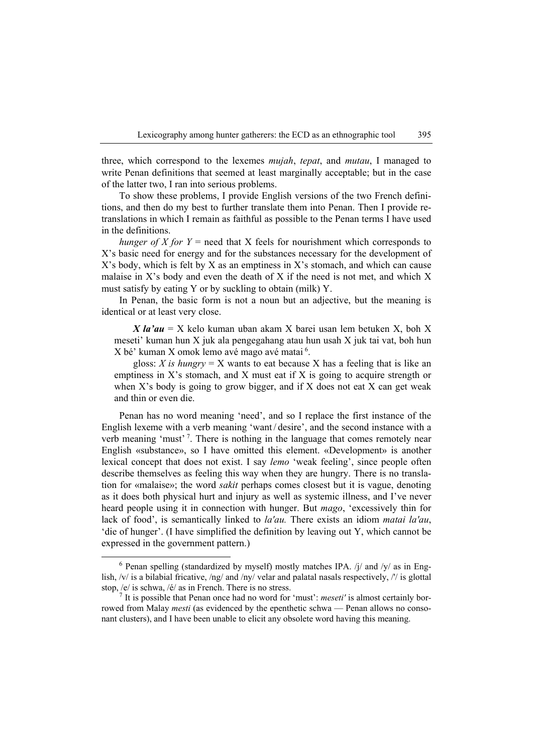three, which correspond to the lexemes *mujah*, *tepat*, and *mutau*, I managed to write Penan definitions that seemed at least marginally acceptable; but in the case of the latter two, I ran into serious problems.

To show these problems, I provide English versions of the two French definitions, and then do my best to further translate them into Penan. Then I provide retranslations in which I remain as faithful as possible to the Penan terms I have used in the definitions.

*hunger of X for Y* = need that X feels for nourishment which corresponds to X's basic need for energy and for the substances necessary for the development of  $X$ 's body, which is felt by  $X$  as an emptiness in  $X$ 's stomach, and which can cause malaise in X's body and even the death of X if the need is not met, and which X must satisfy by eating Y or by suckling to obtain (milk) Y.

In Penan, the basic form is not a noun but an adjective, but the meaning is identical or at least very close.

*X la'au* = X kelo kuman uban akam X barei usan lem betuken X, boh X meseti' kuman hun X juk ala pengegahang atau hun usah X juk tai vat, boh hun X bé' kuman X omok lemo avé mago avé matai<sup>6</sup>.

gloss: *X* is hungry = X wants to eat because X has a feeling that is like an emptiness in X's stomach, and X must eat if X is going to acquire strength or when  $X$ 's body is going to grow bigger, and if  $X$  does not eat  $X$  can get weak and thin or even die.

Penan has no word meaning 'need', and so I replace the first instance of the English lexeme with a verb meaning 'want / desire', and the second instance with a verb meaning 'must'<sup>7</sup>. There is nothing in the language that comes remotely near English «substance», so I have omitted this element. «Development» is another lexical concept that does not exist. I say *lemo* 'weak feeling', since people often describe themselves as feeling this way when they are hungry. There is no translation for «malaise»; the word *sakit* perhaps comes closest but it is vague, denoting as it does both physical hurt and injury as well as systemic illness, and I've never heard people using it in connection with hunger. But *mago*, 'excessively thin for lack of food', is semantically linked to *la'au.* There exists an idiom *matai la'au*, 'die of hunger'. (I have simplified the definition by leaving out Y, which cannot be expressed in the government pattern.)

 <sup>6</sup>  $6$  Penan spelling (standardized by myself) mostly matches IPA. /j/ and /y/ as in English, /v/ is a bilabial fricative, /ng/ and /ny/ velar and palatal nasals respectively, /'/ is glottal stop, /e/ is schwa, /é/ as in French. There is no stress.

<sup>7</sup> It is possible that Penan once had no word for 'must': *meseti'* is almost certainly borrowed from Malay *mesti* (as evidenced by the epenthetic schwa — Penan allows no consonant clusters), and I have been unable to elicit any obsolete word having this meaning.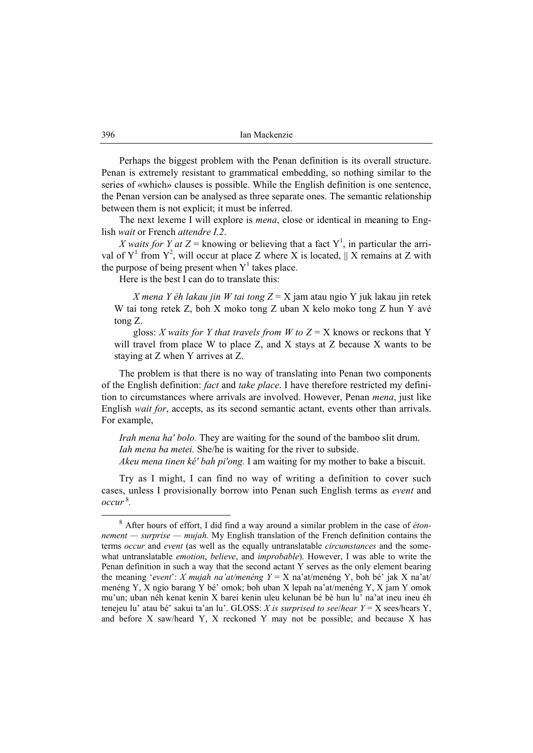| 396 | Ian Mackenzie |
|-----|---------------|
|     |               |

Perhaps the biggest problem with the Penan definition is its overall structure. Penan is extremely resistant to grammatical embedding, so nothing similar to the series of «which» clauses is possible. While the English definition is one sentence, the Penan version can be analysed as three separate ones. The semantic relationship between them is not explicit; it must be inferred.

The next lexeme I will explore is *mena*, close or identical in meaning to English *wait* or French *attendre I.2*.

X waits for Y at  $Z =$  knowing or believing that a fact  $Y^1$ , in particular the arrival of  $Y^1$  from  $Y^2$ , will occur at place Z where X is located, || X remains at Z with the purpose of being present when  $Y^1$  takes place.

Here is the best I can do to translate this:

*X mena Y éh lakau jin W tai tong Z* = X jam atau ngio Y juk lakau jin retek W tai tong retek Z, boh X moko tong Z uban X kelo moko tong Z hun Y avé tong Z.

gloss: *X* waits for *Y* that travels from *W* to  $Z = X$  knows or reckons that *Y* will travel from place W to place  $Z$ , and  $X$  stays at  $Z$  because  $X$  wants to be staying at Z when Y arrives at Z.

The problem is that there is no way of translating into Penan two components of the English definition: *fact* and *take place*. I have therefore restricted my definition to circumstances where arrivals are involved. However, Penan *mena*, just like English *wait for*, accepts, as its second semantic actant, events other than arrivals. For example,

*Irah mena ha' bolo.* They are waiting for the sound of the bamboo slit drum. *Iah mena ba metei.* She/he is waiting for the river to subside.

*Akeu mena tinen ké' bah pi'ong.* I am waiting for my mother to bake a biscuit.

Try as I might, I can find no way of writing a definition to cover such cases, unless I provisionally borrow into Penan such English terms as *event* and *occur* <sup>8</sup> *.*

 <sup>8</sup> After hours of effort, I did find a way around a similar problem in the case of *étonnement — surprise — mujah.* My English translation of the French definition contains the terms *occur* and *event* (as well as the equally untranslatable *circumstances* and the somewhat untranslatable *emotion*, *believe*, and *improbable*). However, I was able to write the Penan definition in such a way that the second actant Y serves as the only element bearing the meaning '*event*': *X mujah na'at/menéng*  $Y = X$  na'at/menéng Y, boh bé' jak X na'at/ menéng Y, X ngio barang Y bé' omok; boh uban X lepah na'at/menéng Y, X jam Y omok mu'un; uban néh kenat kenin X barei kenin uleu kelunan bé bé hun lu' na'at ineu ineu éh tenejeu lu' atau bé' sakui ta'an lu'. GLOSS: *X is surprised to see*/*hear Y* = X sees/hears Y, and before X saw/heard Y, X reckoned Y may not be possible; and because X has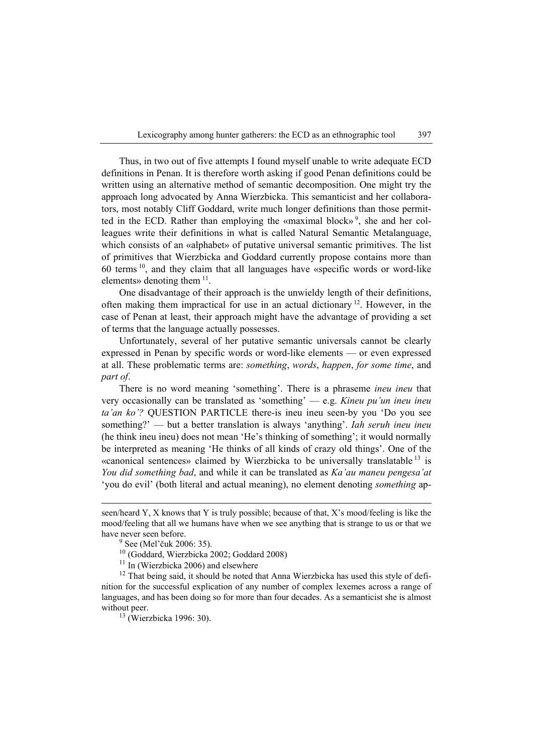Thus, in two out of five attempts I found myself unable to write adequate ECD definitions in Penan. It is therefore worth asking if good Penan definitions could be written using an alternative method of semantic decomposition. One might try the approach long advocated by Anna Wierzbicka. This semanticist and her collaborators, most notably Cliff Goddard, write much longer definitions than those permitted in the ECD. Rather than employing the «maximal block»<sup>9</sup>, she and her colleagues write their definitions in what is called Natural Semantic Metalanguage, which consists of an «alphabet» of putative universal semantic primitives. The list of primitives that Wierzbicka and Goddard currently propose contains more than  $60$  terms  $10$ , and they claim that all languages have «specific words or word-like elements» denoting them  $11$ .

One disadvantage of their approach is the unwieldy length of their definitions, often making them impractical for use in an actual dictionary 12. However, in the case of Penan at least, their approach might have the advantage of providing a set of terms that the language actually possesses.

Unfortunately, several of her putative semantic universals cannot be clearly expressed in Penan by specific words or word-like elements — or even expressed at all. These problematic terms are: *something*, *words*, *happen*, *for some time*, and *part of*.

There is no word meaning 'something'. There is a phraseme *ineu ineu* that very occasionally can be translated as 'something' — e.g. *Kineu pu'un ineu ineu ta'an ko'?* QUESTION PARTICLE there-is ineu ineu seen-by you 'Do you see something?' — but a better translation is always 'anything'. *Iah seruh ineu ineu* (he think ineu ineu) does not mean 'He's thinking of something'; it would normally be interpreted as meaning 'He thinks of all kinds of crazy old things'. One of the «canonical sentences» claimed by Wierzbicka to be universally translatable 13 is *You did something bad*, and while it can be translated as *Ka'au maneu pengesa'at*  'you do evil' (both literal and actual meaning), no element denoting *something* ap-

l

seen/heard Y, X knows that Y is truly possible; because of that, X's mood/feeling is like the mood/feeling that all we humans have when we see anything that is strange to us or that we have never seen before.

<sup>&</sup>lt;sup>9</sup> See (Mel'čuk 2006: 35).

<sup>10 (</sup>Goddard, Wierzbicka 2002; Goddard 2008)

 $11$  In (Wierzbicka 2006) and elsewhere

<sup>&</sup>lt;sup>12</sup> That being said, it should be noted that Anna Wierzbicka has used this style of definition for the successful explication of any number of complex lexemes across a range of languages, and has been doing so for more than four decades. As a semanticist she is almost without peer.

<sup>13 (</sup>Wierzbicka 1996: 30).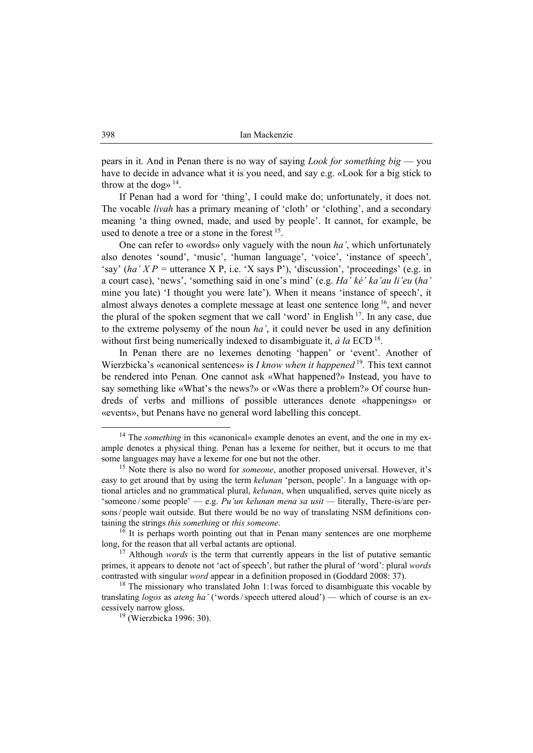pears in it*.* And in Penan there is no way of saying *Look for something big* — you have to decide in advance what it is you need, and say e.g. «Look for a big stick to throw at the dog»<sup>14</sup>.

If Penan had a word for 'thing', I could make do; unfortunately, it does not. The vocable *livah* has a primary meaning of 'cloth' or 'clothing', and a secondary meaning 'a thing owned, made, and used by people'. It cannot, for example, be used to denote a tree or a stone in the forest <sup>15</sup>.

One can refer to «words» only vaguely with the noun *ha'*, which unfortunately also denotes 'sound', 'music', 'human language', 'voice', 'instance of speech', 'say' (*ha' X P =* utterance X P, i.e. 'X says P'), 'discussion', 'proceedings' (e.g. in a court case), 'news', 'something said in one's mind' (e.g. *Ha' ké' ka'au li'eu* (*ha'* mine you late) 'I thought you were late'). When it means 'instance of speech', it almost always denotes a complete message at least one sentence long 16, and never the plural of the spoken segment that we call 'word' in English 17. In any case, due to the extreme polysemy of the noun *ha'*, it could never be used in any definition without first being numerically indexed to disambiguate it, *à la* ECD<sup>18</sup>.

In Penan there are no lexemes denoting 'happen' or 'event'. Another of Wierzbicka's «canonical sentences» is *I know when it happened* <sup>19</sup>*.* This text cannot be rendered into Penan. One cannot ask «What happened?» Instead, you have to say something like «What's the news?» or «Was there a problem?» Of course hundreds of verbs and millions of possible utterances denote «happenings» or «events», but Penans have no general word labelling this concept.

<sup>&</sup>lt;sup>14</sup> The *something* in this «canonical» example denotes an event, and the one in my example denotes a physical thing. Penan has a lexeme for neither, but it occurs to me that some languages may have a lexeme for one but not the other.

<sup>&</sup>lt;sup>15</sup> Note there is also no word for *someone*, another proposed universal. However, it's easy to get around that by using the term *kelunan* 'person, people'. In a language with optional articles and no grammatical plural, *kelunan*, when unqualified, serves quite nicely as 'someone /some people' — e.g. *Pu'un kelunan mena sa usit —* literally, There-is/are persons/ people wait outside. But there would be no way of translating NSM definitions containing the strings *this something* or *this someone*.<br><sup>16</sup> It is perhaps worth pointing out that in Penan many sentences are one morpheme

long, for the reason that all verbal actants are optional.

<sup>&</sup>lt;sup>17</sup> Although *words* is the term that currently appears in the list of putative semantic primes, it appears to denote not 'act of speech', but rather the plural of 'word': plural *words* contrasted with singular *word* appear in a definition proposed in (Goddard 2008: 37).

<sup>&</sup>lt;sup>18</sup> The missionary who translated John 1:1was forced to disambiguate this vocable by translating *logos* as *ateng ha'* ('words/speech uttered aloud') — which of course is an excessively narrow gloss.

<sup>19 (</sup>Wierzbicka 1996: 30).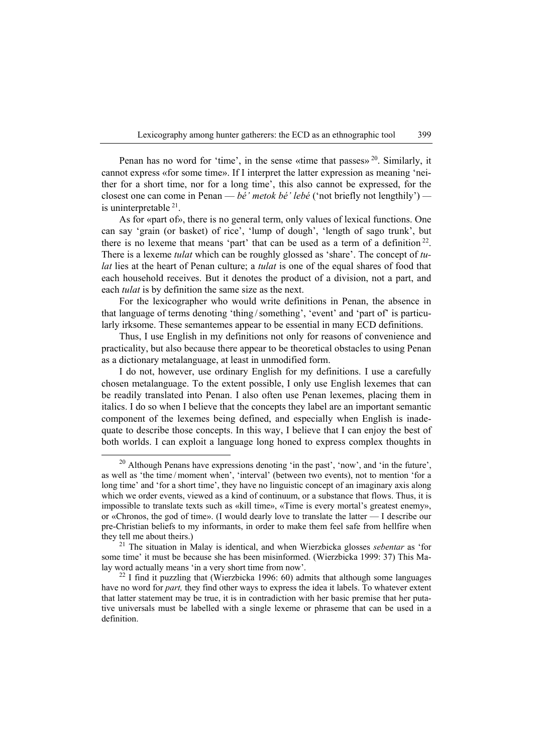Penan has no word for 'time', in the sense «time that passes» <sup>20</sup>. Similarly, it cannot express «for some time». If I interpret the latter expression as meaning 'neither for a short time, nor for a long time', this also cannot be expressed, for the closest one can come in Penan — *bé' metok bé' lebé* ('not briefly not lengthily')  is uninterpretable 21.

As for «part of», there is no general term, only values of lexical functions. One can say 'grain (or basket) of rice', 'lump of dough', 'length of sago trunk', but there is no lexeme that means 'part' that can be used as a term of a definition  $22$ . There is a lexeme *tulat* which can be roughly glossed as 'share'. The concept of *tulat* lies at the heart of Penan culture; a *tulat* is one of the equal shares of food that each household receives. But it denotes the product of a division, not a part, and each *tulat* is by definition the same size as the next.

For the lexicographer who would write definitions in Penan, the absence in that language of terms denoting 'thing /something', 'event' and 'part of' is particularly irksome. These semantemes appear to be essential in many ECD definitions.

Thus, I use English in my definitions not only for reasons of convenience and practicality, but also because there appear to be theoretical obstacles to using Penan as a dictionary metalanguage, at least in unmodified form.

I do not, however, use ordinary English for my definitions. I use a carefully chosen metalanguage. To the extent possible, I only use English lexemes that can be readily translated into Penan. I also often use Penan lexemes, placing them in italics. I do so when I believe that the concepts they label are an important semantic component of the lexemes being defined, and especially when English is inadequate to describe those concepts. In this way, I believe that I can enjoy the best of both worlds. I can exploit a language long honed to express complex thoughts in

<sup>&</sup>lt;sup>20</sup> Although Penans have expressions denoting 'in the past', 'now', and 'in the future', as well as 'the time / moment when', 'interval' (between two events), not to mention 'for a long time' and 'for a short time', they have no linguistic concept of an imaginary axis along which we order events, viewed as a kind of continuum, or a substance that flows. Thus, it is impossible to translate texts such as «kill time», «Time is every mortal's greatest enemy», or «Chronos, the god of time». (I would dearly love to translate the latter — I describe our pre-Christian beliefs to my informants, in order to make them feel safe from hellfire when they tell me about theirs.)

<sup>21</sup> The situation in Malay is identical, and when Wierzbicka glosses *sebentar* as 'for some time' it must be because she has been misinformed. (Wierzbicka 1999: 37) This Malay word actually means 'in a very short time from now'.

 $22$  I find it puzzling that (Wierzbicka 1996: 60) admits that although some languages have no word for *part,* they find other ways to express the idea it labels. To whatever extent that latter statement may be true, it is in contradiction with her basic premise that her putative universals must be labelled with a single lexeme or phraseme that can be used in a definition.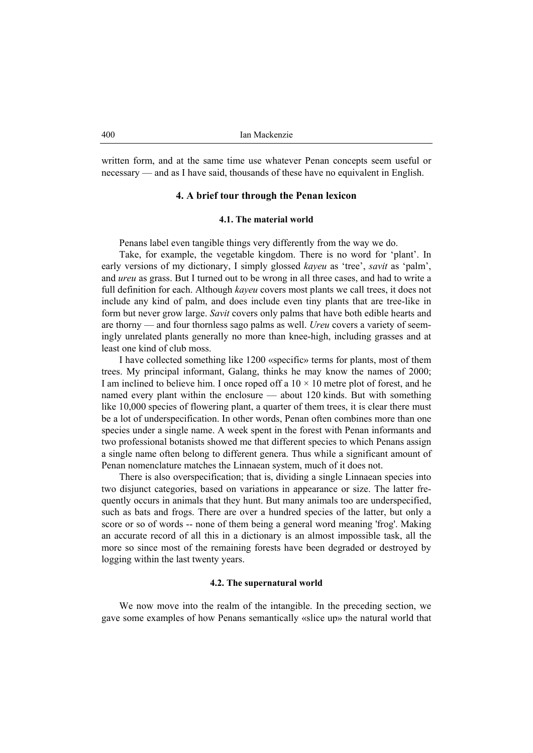written form, and at the same time use whatever Penan concepts seem useful or necessary — and as I have said, thousands of these have no equivalent in English.

### **4. A brief tour through the Penan lexicon**

# **4.1. The material world**

Penans label even tangible things very differently from the way we do.

Take, for example, the vegetable kingdom. There is no word for 'plant'. In early versions of my dictionary, I simply glossed *kayeu* as 'tree', *savit* as 'palm', and *ureu* as grass. But I turned out to be wrong in all three cases, and had to write a full definition for each. Although *kayeu* covers most plants we call trees, it does not include any kind of palm, and does include even tiny plants that are tree-like in form but never grow large. *Savit* covers only palms that have both edible hearts and are thorny — and four thornless sago palms as well. *Ureu* covers a variety of seemingly unrelated plants generally no more than knee-high, including grasses and at least one kind of club moss.

I have collected something like 1200 «specific» terms for plants, most of them trees. My principal informant, Galang, thinks he may know the names of 2000; I am inclined to believe him. I once roped off a  $10 \times 10$  metre plot of forest, and he named every plant within the enclosure — about 120 kinds. But with something like 10,000 species of flowering plant, a quarter of them trees, it is clear there must be a lot of underspecification. In other words, Penan often combines more than one species under a single name. A week spent in the forest with Penan informants and two professional botanists showed me that different species to which Penans assign a single name often belong to different genera. Thus while a significant amount of Penan nomenclature matches the Linnaean system, much of it does not.

There is also overspecification; that is, dividing a single Linnaean species into two disjunct categories, based on variations in appearance or size. The latter frequently occurs in animals that they hunt. But many animals too are underspecified, such as bats and frogs. There are over a hundred species of the latter, but only a score or so of words -- none of them being a general word meaning 'frog'. Making an accurate record of all this in a dictionary is an almost impossible task, all the more so since most of the remaining forests have been degraded or destroyed by logging within the last twenty years.

# **4.2. The supernatural world**

We now move into the realm of the intangible. In the preceding section, we gave some examples of how Penans semantically «slice up» the natural world that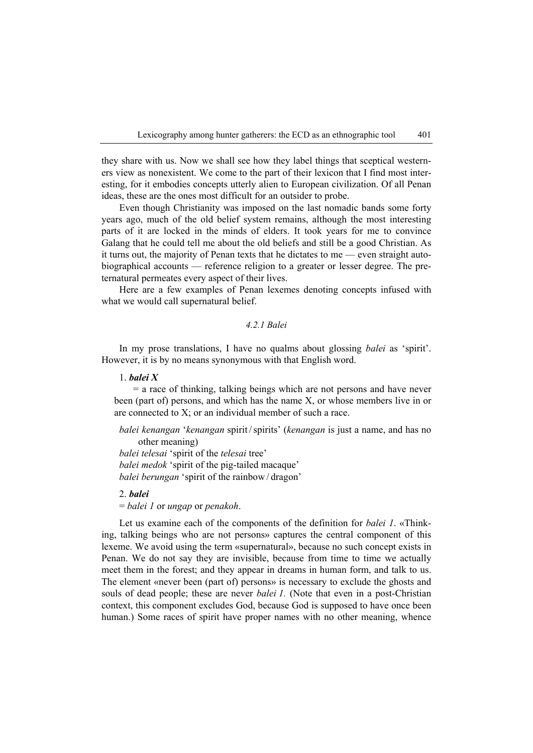they share with us. Now we shall see how they label things that sceptical westerners view as nonexistent. We come to the part of their lexicon that I find most interesting, for it embodies concepts utterly alien to European civilization. Of all Penan ideas, these are the ones most difficult for an outsider to probe.

Even though Christianity was imposed on the last nomadic bands some forty years ago, much of the old belief system remains, although the most interesting parts of it are locked in the minds of elders. It took years for me to convince Galang that he could tell me about the old beliefs and still be a good Christian. As it turns out, the majority of Penan texts that he dictates to me — even straight autobiographical accounts — reference religion to a greater or lesser degree. The preternatural permeates every aspect of their lives.

Here are a few examples of Penan lexemes denoting concepts infused with what we would call supernatural belief.

# *4.2.1 Balei*

In my prose translations, I have no qualms about glossing *balei* as 'spirit'. However, it is by no means synonymous with that English word.

### 1. *balei X*

= a race of thinking, talking beings which are not persons and have never been (part of) persons, and which has the name X, or whose members live in or are connected to X; or an individual member of such a race.

*balei kenangan* '*kenangan* spirit /spirits' (*kenangan* is just a name, and has no other meaning)

*balei telesai* 'spirit of the *telesai* tree' *balei medok* 'spirit of the pig-tailed macaque' *balei berungan* 'spirit of the rainbow / dragon'

2. *balei*

= *balei 1* or *ungap* or *penakoh*.

Let us examine each of the components of the definition for *balei 1*. «Thinking, talking beings who are not persons» captures the central component of this lexeme. We avoid using the term «supernatural», because no such concept exists in Penan. We do not say they are invisible, because from time to time we actually meet them in the forest; and they appear in dreams in human form, and talk to us. The element «never been (part of) persons» is necessary to exclude the ghosts and souls of dead people; these are never *balei 1.* (Note that even in a post-Christian context, this component excludes God, because God is supposed to have once been human.) Some races of spirit have proper names with no other meaning, whence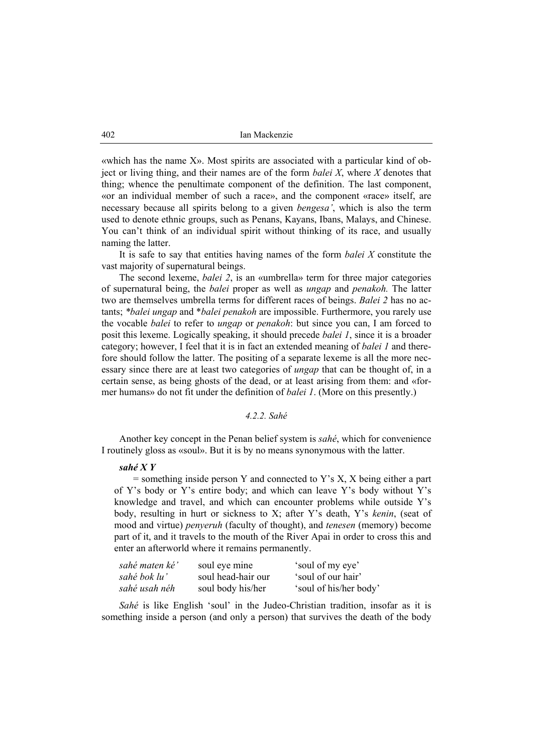«which has the name X». Most spirits are associated with a particular kind of object or living thing, and their names are of the form *balei X*, where *X* denotes that thing; whence the penultimate component of the definition. The last component, «or an individual member of such a race», and the component «race» itself, are necessary because all spirits belong to a given *bengesa'*, which is also the term used to denote ethnic groups, such as Penans, Kayans, Ibans, Malays, and Chinese. You can't think of an individual spirit without thinking of its race, and usually naming the latter.

It is safe to say that entities having names of the form *balei X* constitute the vast majority of supernatural beings.

The second lexeme, *balei 2*, is an «umbrella» term for three major categories of supernatural being, the *balei* proper as well as *ungap* and *penakoh.* The latter two are themselves umbrella terms for different races of beings. *Balei 2* has no actants; *\*balei ungap* and \**balei penakoh* are impossible. Furthermore, you rarely use the vocable *balei* to refer to *ungap* or *penakoh*: but since you can, I am forced to posit this lexeme. Logically speaking, it should precede *balei 1*, since it is a broader category; however, I feel that it is in fact an extended meaning of *balei 1* and therefore should follow the latter. The positing of a separate lexeme is all the more necessary since there are at least two categories of *ungap* that can be thought of, in a certain sense, as being ghosts of the dead, or at least arising from them: and «former humans» do not fit under the definition of *balei 1*. (More on this presently.)

### *4.2.2. Sahé*

Another key concept in the Penan belief system is *sahé*, which for convenience I routinely gloss as «soul». But it is by no means synonymous with the latter.

#### *sahé X Y*

 $=$  something inside person Y and connected to Y's X, X being either a part of Y's body or Y's entire body; and which can leave Y's body without Y's knowledge and travel, and which can encounter problems while outside Y's body, resulting in hurt or sickness to X; after Y's death, Y's *kenin*, (seat of mood and virtue) *penyeruh* (faculty of thought), and *tenesen* (memory) become part of it, and it travels to the mouth of the River Apai in order to cross this and enter an afterworld where it remains permanently.

| sahé maten ké' | soul eye mine      | 'soul of my eye'       |
|----------------|--------------------|------------------------|
| sahé bok lu'   | soul head-hair our | 'soul of our hair'     |
| sahé usah néh  | soul body his/her  | 'soul of his/her body' |

*Sahé* is like English 'soul' in the Judeo-Christian tradition, insofar as it is something inside a person (and only a person) that survives the death of the body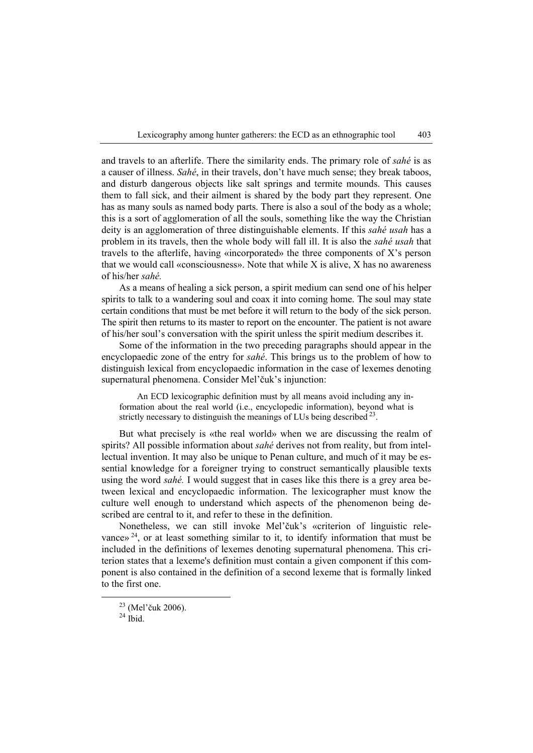and travels to an afterlife. There the similarity ends. The primary role of *sahé* is as a causer of illness. *Sahé*, in their travels, don't have much sense; they break taboos, and disturb dangerous objects like salt springs and termite mounds. This causes them to fall sick, and their ailment is shared by the body part they represent. One has as many souls as named body parts. There is also a soul of the body as a whole; this is a sort of agglomeration of all the souls, something like the way the Christian deity is an agglomeration of three distinguishable elements. If this *sahé usah* has a problem in its travels, then the whole body will fall ill. It is also the *sahé usah* that travels to the afterlife, having «incorporated» the three components of X's person that we would call «consciousness». Note that while X is alive, X has no awareness of his/her *sahé.* 

As a means of healing a sick person, a spirit medium can send one of his helper spirits to talk to a wandering soul and coax it into coming home. The soul may state certain conditions that must be met before it will return to the body of the sick person. The spirit then returns to its master to report on the encounter. The patient is not aware of his/her soul's conversation with the spirit unless the spirit medium describes it.

Some of the information in the two preceding paragraphs should appear in the encyclopaedic zone of the entry for *sahé*. This brings us to the problem of how to distinguish lexical from encyclopaedic information in the case of lexemes denoting supernatural phenomena. Consider Mel'čuk's injunction:

An ECD lexicographic definition must by all means avoid including any information about the real world (i.e., encyclopedic information), beyond what is strictly necessary to distinguish the meanings of LUs being described  $2<sup>3</sup>$ .

But what precisely is «the real world» when we are discussing the realm of spirits? All possible information about *sahé* derives not from reality, but from intellectual invention. It may also be unique to Penan culture, and much of it may be essential knowledge for a foreigner trying to construct semantically plausible texts using the word *sahé.* I would suggest that in cases like this there is a grey area between lexical and encyclopaedic information. The lexicographer must know the culture well enough to understand which aspects of the phenomenon being described are central to it, and refer to these in the definition.

Nonetheless, we can still invoke Mel'čuk's «criterion of linguistic relevance»  $24$ , or at least something similar to it, to identify information that must be included in the definitions of lexemes denoting supernatural phenomena. This criterion states that a lexeme's definition must contain a given component if this component is also contained in the definition of a second lexeme that is formally linked to the first one.

 <sup>23 (</sup>Mel'čuk 2006).

 $^{24}$  Ibid.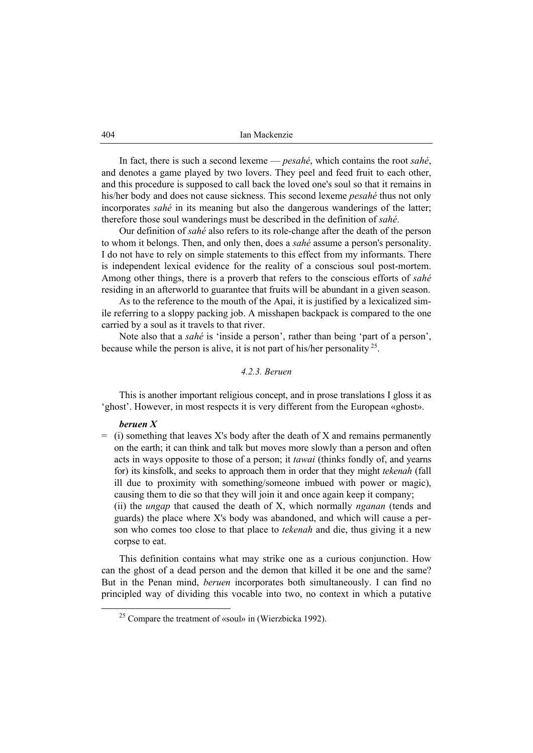In fact, there is such a second lexeme — *pesahé*, which contains the root *sahé*, and denotes a game played by two lovers. They peel and feed fruit to each other, and this procedure is supposed to call back the loved one's soul so that it remains in his/her body and does not cause sickness. This second lexeme *pesahé* thus not only incorporates *sahé* in its meaning but also the dangerous wanderings of the latter; therefore those soul wanderings must be described in the definition of *sahé*.

Our definition of *sahé* also refers to its role-change after the death of the person to whom it belongs. Then, and only then, does a *sahé* assume a person's personality. I do not have to rely on simple statements to this effect from my informants. There is independent lexical evidence for the reality of a conscious soul post-mortem. Among other things, there is a proverb that refers to the conscious efforts of *sahé* residing in an afterworld to guarantee that fruits will be abundant in a given season.

As to the reference to the mouth of the Apai, it is justified by a lexicalized simile referring to a sloppy packing job. A misshapen backpack is compared to the one carried by a soul as it travels to that river.

Note also that a *sahé* is 'inside a person', rather than being 'part of a person', because while the person is alive, it is not part of his/her personality <sup>25</sup>.

### *4.2.3. Beruen*

This is another important religious concept, and in prose translations I gloss it as 'ghost'. However, in most respects it is very different from the European «ghost».

#### *beruen X*

= (i) something that leaves X's body after the death of X and remains permanently on the earth; it can think and talk but moves more slowly than a person and often acts in ways opposite to those of a person; it *tawai* (thinks fondly of, and yearns for) its kinsfolk, and seeks to approach them in order that they might *tekenah* (fall ill due to proximity with something/someone imbued with power or magic), causing them to die so that they will join it and once again keep it company; (ii) the *ungap* that caused the death of X, which normally *nganan* (tends and guards) the place where X's body was abandoned, and which will cause a person who comes too close to that place to *tekenah* and die, thus giving it a new corpse to eat.

This definition contains what may strike one as a curious conjunction. How can the ghost of a dead person and the demon that killed it be one and the same? But in the Penan mind, *beruen* incorporates both simultaneously. I can find no principled way of dividing this vocable into two, no context in which a putative

 <sup>25</sup> Compare the treatment of «soul» in (Wierzbicka 1992).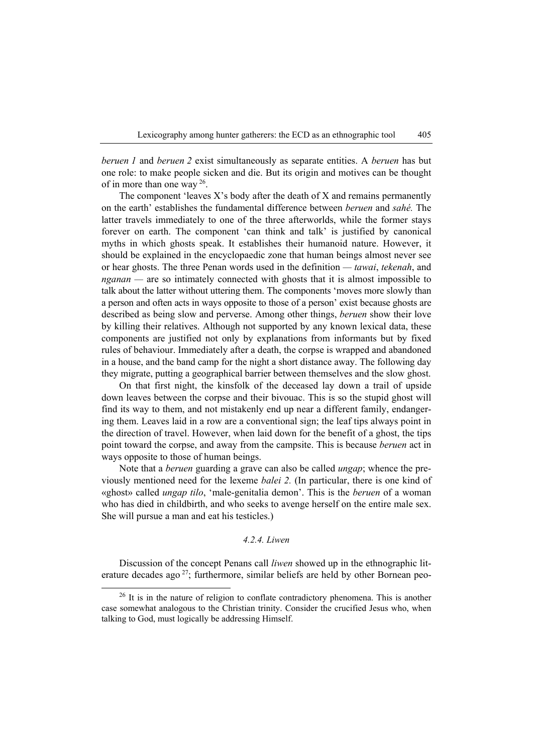*beruen 1* and *beruen 2* exist simultaneously as separate entities. A *beruen* has but one role: to make people sicken and die. But its origin and motives can be thought of in more than one way  $2^6$ .

The component 'leaves  $X$ 's body after the death of  $X$  and remains permanently on the earth' establishes the fundamental difference between *beruen* and *sahé.* The latter travels immediately to one of the three afterworlds, while the former stays forever on earth. The component 'can think and talk' is justified by canonical myths in which ghosts speak. It establishes their humanoid nature. However, it should be explained in the encyclopaedic zone that human beings almost never see or hear ghosts. The three Penan words used in the definition *— tawai*, *tekenah*, and *nganan —* are so intimately connected with ghosts that it is almost impossible to talk about the latter without uttering them. The components 'moves more slowly than a person and often acts in ways opposite to those of a person' exist because ghosts are described as being slow and perverse. Among other things, *beruen* show their love by killing their relatives. Although not supported by any known lexical data, these components are justified not only by explanations from informants but by fixed rules of behaviour. Immediately after a death, the corpse is wrapped and abandoned in a house, and the band camp for the night a short distance away. The following day they migrate, putting a geographical barrier between themselves and the slow ghost.

On that first night, the kinsfolk of the deceased lay down a trail of upside down leaves between the corpse and their bivouac. This is so the stupid ghost will find its way to them, and not mistakenly end up near a different family, endangering them. Leaves laid in a row are a conventional sign; the leaf tips always point in the direction of travel. However, when laid down for the benefit of a ghost, the tips point toward the corpse, and away from the campsite. This is because *beruen* act in ways opposite to those of human beings.

Note that a *beruen* guarding a grave can also be called *ungap*; whence the previously mentioned need for the lexeme *balei 2.* (In particular, there is one kind of «ghost» called *ungap tilo*, 'male-genitalia demon'. This is the *beruen* of a woman who has died in childbirth, and who seeks to avenge herself on the entire male sex. She will pursue a man and eat his testicles.)

#### *4.2.4. Liwen*

Discussion of the concept Penans call *liwen* showed up in the ethnographic literature decades ago  $27$ ; furthermore, similar beliefs are held by other Bornean peo-

 $26$  It is in the nature of religion to conflate contradictory phenomena. This is another case somewhat analogous to the Christian trinity. Consider the crucified Jesus who, when talking to God, must logically be addressing Himself.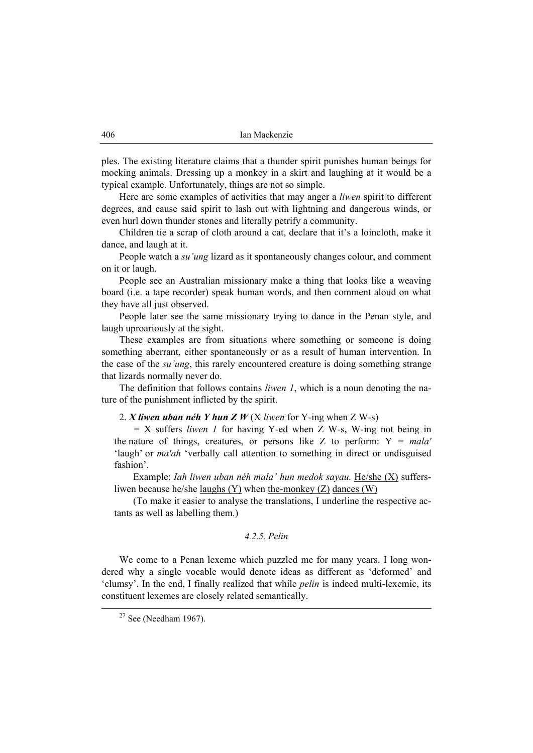ples. The existing literature claims that a thunder spirit punishes human beings for mocking animals. Dressing up a monkey in a skirt and laughing at it would be a typical example. Unfortunately, things are not so simple.

Here are some examples of activities that may anger a *liwen* spirit to different degrees, and cause said spirit to lash out with lightning and dangerous winds, or even hurl down thunder stones and literally petrify a community.

Children tie a scrap of cloth around a cat, declare that it's a loincloth, make it dance, and laugh at it.

People watch a *su'ung* lizard as it spontaneously changes colour, and comment on it or laugh.

People see an Australian missionary make a thing that looks like a weaving board (i.e. a tape recorder) speak human words, and then comment aloud on what they have all just observed.

People later see the same missionary trying to dance in the Penan style, and laugh uproariously at the sight.

These examples are from situations where something or someone is doing something aberrant, either spontaneously or as a result of human intervention. In the case of the *su'ung*, this rarely encountered creature is doing something strange that lizards normally never do.

The definition that follows contains *liwen 1*, which is a noun denoting the nature of the punishment inflicted by the spirit.

### 2. *X liwen uban néh Y hun Z W* (X *liwen* for Y-ing when Z W-s)

*=* X suffers *liwen 1* for having Y-ed when Z W-s, W-ing not being in the nature of things, creatures, or persons like  $Z$  to perform:  $Y = mala'$ 'laugh' or *ma'ah* 'verbally call attention to something in direct or undisguised fashion'.

Example: *Iah liwen uban néh mala' hun medok sayau.* He/she (X) suffersliwen because he/she laughs (Y) when the-monkey (Z) dances (W)

(To make it easier to analyse the translations, I underline the respective actants as well as labelling them.)

# *4.2.5. Pelin*

We come to a Penan lexeme which puzzled me for many years. I long wondered why a single vocable would denote ideas as different as 'deformed' and 'clumsy'. In the end, I finally realized that while *pelin* is indeed multi-lexemic, its constituent lexemes are closely related semantically.

 $27$  See (Needham 1967).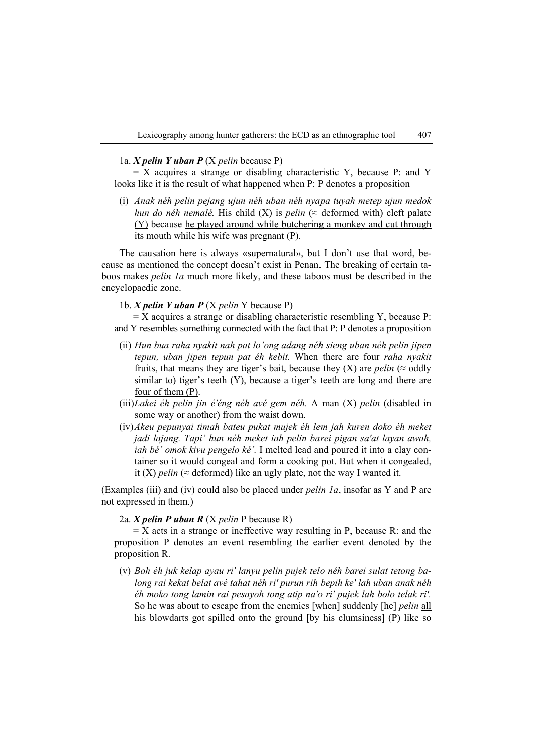# 1a. *X pelin Y uban P* (X *pelin* because P)

 $=$  X acquires a strange or disabling characteristic Y, because P: and Y looks like it is the result of what happened when P: P denotes a proposition

(i) *Anak néh pelin pejang ujun néh uban néh nyapa tuyah metep ujun medok hun do néh nemalé.* His child  $(X)$  is *pelin* ( $\approx$  deformed with) cleft palate (Y) because he played around while butchering a monkey and cut through its mouth while his wife was pregnant (P).

The causation here is always «supernatural», but I don't use that word, because as mentioned the concept doesn't exist in Penan. The breaking of certain taboos makes *pelin 1a* much more likely, and these taboos must be described in the encyclopaedic zone.

# 1b. *X pelin Y uban P* (X *pelin* Y because P)

 $=$  X acquires a strange or disabling characteristic resembling Y, because P: and Y resembles something connected with the fact that P: P denotes a proposition

- (ii) *Hun bua raha nyakit nah pat lo'ong adang néh sieng uban néh pelin jipen tepun, uban jipen tepun pat éh kebit.* When there are four *raha nyakit* fruits, that means they are tiger's bait, because they  $(X)$  are *pelin* ( $\approx$  oddly similar to) tiger's teeth  $(Y)$ , because a tiger's teeth are long and there are four of them (P).
- (iii) *Lakei éh pelin jin é'éng néh avé gem néh.* A man (X) *pelin* (disabled in some way or another) from the waist down.
- (iv) *Akeu pepunyai timah bateu pukat mujek éh lem jah kuren doko éh meket jadi lajang. Tapi' hun néh meket iah pelin barei pigan sa'at layan awah, iah bé' omok kivu pengelo ké'.* I melted lead and poured it into a clay container so it would congeal and form a cooking pot. But when it congealed, it (X) *pelin* ( $\approx$  deformed) like an ugly plate, not the way I wanted it.

(Examples (iii) and (iv) could also be placed under *pelin 1a*, insofar as Y and P are not expressed in them.)

### 2a. *X pelin P uban R* (X *pelin* P because R)

 $=$  X acts in a strange or ineffective way resulting in P, because R: and the proposition P denotes an event resembling the earlier event denoted by the proposition R.

(v) *Boh éh juk kelap ayau ri' lanyu pelin pujek telo néh barei sulat tetong balong rai kekat belat avé tahat néh ri' purun rih bepih ke' lah uban anak néh éh moko tong lamin rai pesayoh tong atip na'o ri' pujek lah bolo telak ri'.* So he was about to escape from the enemies [when] suddenly [he] *pelin* all his blowdarts got spilled onto the ground [by his clumsiness] (P) like so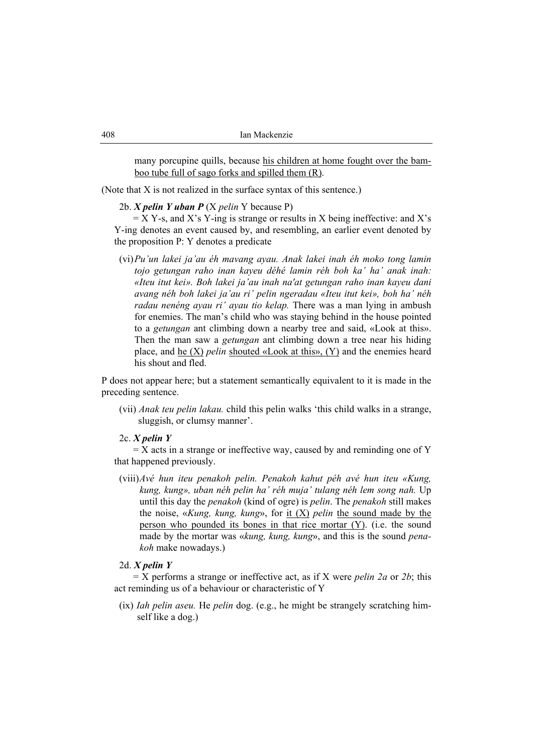many porcupine quills, because his children at home fought over the bamboo tube full of sago forks and spilled them (R).

(Note that X is not realized in the surface syntax of this sentence.)

2b. *X pelin Y uban P* (X *pelin* Y because P)

 $=$  X Y-s, and X's Y-ing is strange or results in X being ineffective: and X's Y-ing denotes an event caused by, and resembling, an earlier event denoted by the proposition P: Y denotes a predicate

(vi) *Pu'un lakei ja'au éh mavang ayau. Anak lakei inah éh moko tong lamin tojo getungan raho inan kayeu déhé lamin réh boh ka' ha' anak inah: «Iteu itut kei». Boh lakei ja'au inah na'at getungan raho inan kayeu dani avang néh boh lakei ja'au ri' pelin ngeradau «Iteu itut kei», boh ha' néh radau nenéng ayau ri' ayau tio kelap.* There was a man lying in ambush for enemies. The man's child who was staying behind in the house pointed to a *getungan* ant climbing down a nearby tree and said, «Look at this». Then the man saw a *getungan* ant climbing down a tree near his hiding place, and he (X) *pelin* shouted «Look at this», (Y) and the enemies heard his shout and fled.

P does not appear here; but a statement semantically equivalent to it is made in the preceding sentence.

(vii) *Anak teu pelin lakau.* child this pelin walks 'this child walks in a strange, sluggish, or clumsy manner'.

# 2c. *X pelin Y*

 $=$  X acts in a strange or ineffective way, caused by and reminding one of Y that happened previously.

(viii) *Avé hun iteu penakoh pelin. Penakoh kahut péh avé hun iteu «Kung, kung, kung», uban néh pelin ha' réh muja' tulang néh lem song nah.* Up until this day the *penakoh* (kind of ogre) is *pelin*. The *penakoh* still makes the noise, «*Kung, kung, kung*», for it (X) *pelin* the sound made by the person who pounded its bones in that rice mortar (Y). (i.e. the sound made by the mortar was «*kung, kung, kung*», and this is the sound *penakoh* make nowadays.)

# 2d. *X pelin Y*

= X performs a strange or ineffective act, as if X were *pelin 2a* or *2b*; this act reminding us of a behaviour or characteristic of Y

(ix) *Iah pelin aseu.* He *pelin* dog. (e.g., he might be strangely scratching himself like a dog.)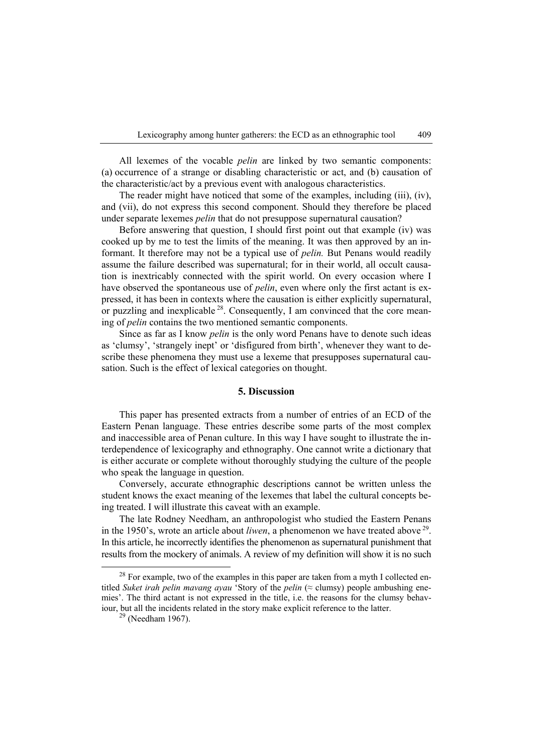All lexemes of the vocable *pelin* are linked by two semantic components: (a) occurrence of a strange or disabling characteristic or act, and (b) causation of the characteristic/act by a previous event with analogous characteristics.

The reader might have noticed that some of the examples, including (iii), (iv), and (vii), do not express this second component. Should they therefore be placed under separate lexemes *pelin* that do not presuppose supernatural causation?

Before answering that question, I should first point out that example (iv) was cooked up by me to test the limits of the meaning. It was then approved by an informant. It therefore may not be a typical use of *pelin.* But Penans would readily assume the failure described was supernatural; for in their world, all occult causation is inextricably connected with the spirit world. On every occasion where I have observed the spontaneous use of *pelin*, even where only the first actant is expressed, it has been in contexts where the causation is either explicitly supernatural, or puzzling and inexplicable <sup>28</sup>. Consequently, I am convinced that the core meaning of *pelin* contains the two mentioned semantic components.

Since as far as I know *pelin* is the only word Penans have to denote such ideas as 'clumsy', 'strangely inept' or 'disfigured from birth', whenever they want to describe these phenomena they must use a lexeme that presupposes supernatural causation. Such is the effect of lexical categories on thought.

### **5. Discussion**

This paper has presented extracts from a number of entries of an ECD of the Eastern Penan language. These entries describe some parts of the most complex and inaccessible area of Penan culture. In this way I have sought to illustrate the interdependence of lexicography and ethnography. One cannot write a dictionary that is either accurate or complete without thoroughly studying the culture of the people who speak the language in question.

Conversely, accurate ethnographic descriptions cannot be written unless the student knows the exact meaning of the lexemes that label the cultural concepts being treated. I will illustrate this caveat with an example.

The late Rodney Needham, an anthropologist who studied the Eastern Penans in the 1950's, wrote an article about *liwen*, a phenomenon we have treated above 29. In this article, he incorrectly identifies the phenomenon as supernatural punishment that results from the mockery of animals. A review of my definition will show it is no such

 $28$  For example, two of the examples in this paper are taken from a myth I collected entitled *Suket irah pelin mavang ayau* 'Story of the *pelin* ( $\approx$  clumsy) people ambushing enemies'. The third actant is not expressed in the title, i.e. the reasons for the clumsy behaviour, but all the incidents related in the story make explicit reference to the latter.

 $29$  (Needham 1967).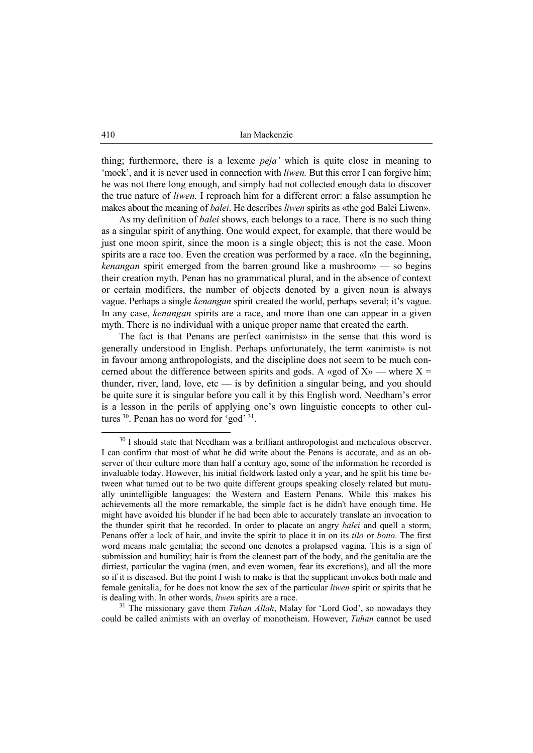thing; furthermore, there is a lexeme *peja'* which is quite close in meaning to 'mock', and it is never used in connection with *liwen.* But this error I can forgive him; he was not there long enough, and simply had not collected enough data to discover the true nature of *liwen.* I reproach him for a different error: a false assumption he makes about the meaning of *balei*. He describes *liwen* spirits as «the god Balei Liwen».

As my definition of *balei* shows, each belongs to a race. There is no such thing as a singular spirit of anything. One would expect, for example, that there would be just one moon spirit, since the moon is a single object; this is not the case. Moon spirits are a race too. Even the creation was performed by a race. «In the beginning, *kenangan* spirit emerged from the barren ground like a mushroom» — so begins their creation myth. Penan has no grammatical plural, and in the absence of context or certain modifiers, the number of objects denoted by a given noun is always vague. Perhaps a single *kenangan* spirit created the world, perhaps several; it's vague. In any case, *kenangan* spirits are a race, and more than one can appear in a given myth. There is no individual with a unique proper name that created the earth.

The fact is that Penans are perfect «animists» in the sense that this word is generally understood in English. Perhaps unfortunately, the term «animist» is not in favour among anthropologists, and the discipline does not seem to be much concerned about the difference between spirits and gods. A «god of  $X$ » — where  $X =$ thunder, river, land, love, etc  $\overline{ }$  is by definition a singular being, and you should be quite sure it is singular before you call it by this English word. Needham's error is a lesson in the perils of applying one's own linguistic concepts to other cultures <sup>30</sup>. Penan has no word for 'god' <sup>31</sup>.

<sup>31</sup> The missionary gave them *Tuhan Allah*, Malay for 'Lord God', so nowadays they could be called animists with an overlay of monotheism. However, *Tuhan* cannot be used

<sup>&</sup>lt;sup>30</sup> I should state that Needham was a brilliant anthropologist and meticulous observer. I can confirm that most of what he did write about the Penans is accurate, and as an observer of their culture more than half a century ago, some of the information he recorded is invaluable today. However, his initial fieldwork lasted only a year, and he split his time between what turned out to be two quite different groups speaking closely related but mutually unintelligible languages: the Western and Eastern Penans. While this makes his achievements all the more remarkable, the simple fact is he didn't have enough time. He might have avoided his blunder if he had been able to accurately translate an invocation to the thunder spirit that he recorded. In order to placate an angry *balei* and quell a storm, Penans offer a lock of hair, and invite the spirit to place it in on its *tilo* or *bono*. The first word means male genitalia; the second one denotes a prolapsed vagina. This is a sign of submission and humility; hair is from the cleanest part of the body, and the genitalia are the dirtiest, particular the vagina (men, and even women, fear its excretions), and all the more so if it is diseased. But the point I wish to make is that the supplicant invokes both male and female genitalia, for he does not know the sex of the particular *liwen* spirit or spirits that he is dealing with. In other words, *liwen* spirits are a race.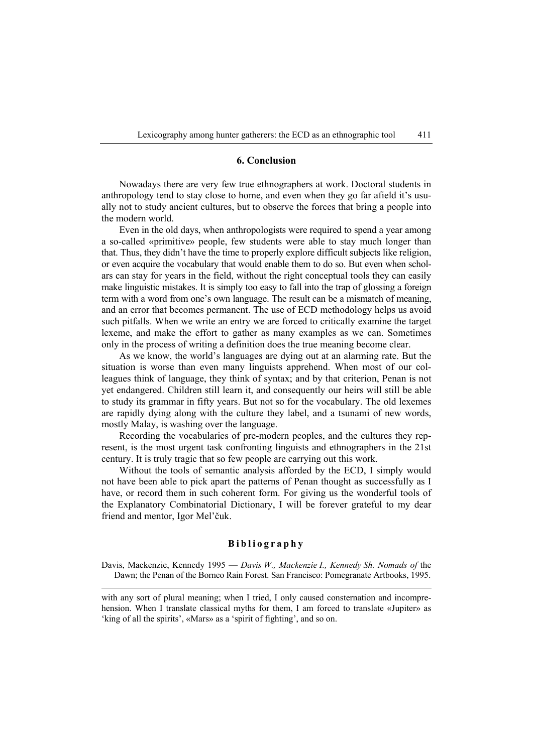# **6. Conclusion**

Nowadays there are very few true ethnographers at work. Doctoral students in anthropology tend to stay close to home, and even when they go far afield it's usually not to study ancient cultures, but to observe the forces that bring a people into the modern world.

Even in the old days, when anthropologists were required to spend a year among a so-called «primitive» people, few students were able to stay much longer than that. Thus, they didn't have the time to properly explore difficult subjects like religion, or even acquire the vocabulary that would enable them to do so. But even when scholars can stay for years in the field, without the right conceptual tools they can easily make linguistic mistakes. It is simply too easy to fall into the trap of glossing a foreign term with a word from one's own language. The result can be a mismatch of meaning, and an error that becomes permanent. The use of ECD methodology helps us avoid such pitfalls. When we write an entry we are forced to critically examine the target lexeme, and make the effort to gather as many examples as we can. Sometimes only in the process of writing a definition does the true meaning become clear.

As we know, the world's languages are dying out at an alarming rate. But the situation is worse than even many linguists apprehend. When most of our colleagues think of language, they think of syntax; and by that criterion, Penan is not yet endangered. Children still learn it, and consequently our heirs will still be able to study its grammar in fifty years. But not so for the vocabulary. The old lexemes are rapidly dying along with the culture they label, and a tsunami of new words, mostly Malay, is washing over the language.

Recording the vocabularies of pre-modern peoples, and the cultures they represent, is the most urgent task confronting linguists and ethnographers in the 21st century. It is truly tragic that so few people are carrying out this work.

Without the tools of semantic analysis afforded by the ECD, I simply would not have been able to pick apart the patterns of Penan thought as successfully as I have, or record them in such coherent form. For giving us the wonderful tools of the Explanatory Combinatorial Dictionary, I will be forever grateful to my dear friend and mentor, Igor Mel'čuk.

## **Bibliography**

Davis, Mackenzie, Kennedy 1995 — *Davis W., Mackenzie I., Kennedy Sh. Nomads of* the Dawn; the Penan of the Borneo Rain Forest. San Francisco: Pomegranate Artbooks, 1995.

l

with any sort of plural meaning; when I tried, I only caused consternation and incomprehension. When I translate classical myths for them, I am forced to translate «Jupiter» as 'king of all the spirits', «Mars» as a 'spirit of fighting', and so on.